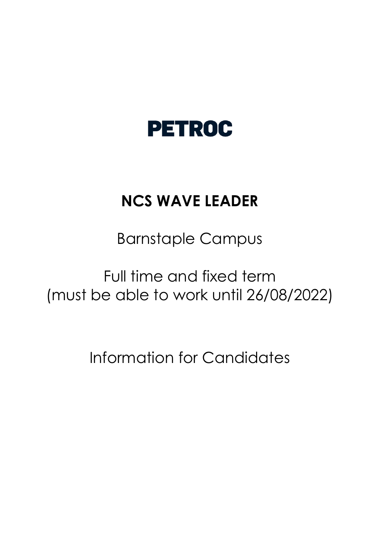# **PETROC**

# **NCS WAVE LEADER**

Barnstaple Campus

Full time and fixed term (must be able to work until 26/08/2022)

Information for Candidates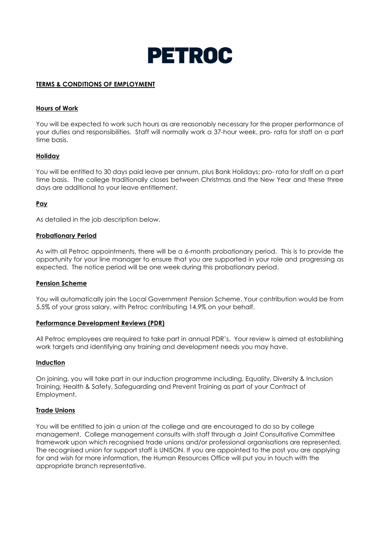

#### **TERMS & CONDITIONS OF EMPLOYMENT**

#### **Hours of Work**

You will be expected to work such hours as are reasonably necessary for the proper performance of your duties and responsibilities. Staff will normally work a 37-hour week, pro- rata for staff on a part time basis.

#### **Holiday**

You will be entitled to 30 days paid leave per annum, plus Bank Holidays; pro- rata for staff on a part time basis. The college traditionally closes between Christmas and the New Year and these three days are additional to your leave entitlement.

#### **Pay**

As detailed in the job description below.

#### **Probationary Period**

As with all Petroc appointments, there will be a 6-month probationary period. This is to provide the opportunity for your line manager to ensure that you are supported in your role and progressing as expected. The notice period will be one week during this probationary period.

#### **Pension Scheme**

You will automatically join the Local Government Pension Scheme. Your contribution would be from 5.5% of your gross salary, with Petroc contributing 14.9% on your behalf.

#### **Performance Development Reviews (PDR)**

All Petroc employees are required to take part in annual PDR's. Your review is aimed at establishing work targets and identifying any training and development needs you may have.

#### **Induction**

On joining, you will take part in our induction programme including, Equality, Diversity & Inclusion Training, Health & Safety, Safeguarding and Prevent Training as part of your Contract of Employment.

#### **Trade Unions**

You will be entitled to join a union at the college and are encouraged to do so by college management. College management consults with staff through a Joint Consultative Committee framework upon which recognised trade unions and/or professional organisations are represented. The recognised union for support staff is UNISON. If you are appointed to the post you are applying for and wish for more information, the Human Resources Office will put you in touch with the appropriate branch representative.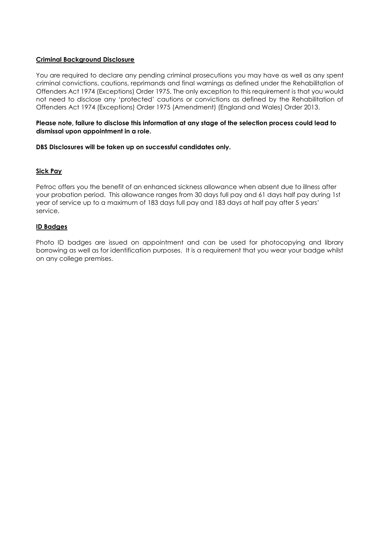#### **Criminal Background Disclosure**

You are required to declare any pending criminal prosecutions you may have as well as any spent criminal convictions, cautions, reprimands and final warnings as defined under the Rehabilitation of Offenders Act 1974 (Exceptions) Order 1975. The only exception to this requirement is that you would not need to disclose any 'protected' cautions or convictions as defined by the Rehabilitation of Offenders Act 1974 (Exceptions) Order 1975 (Amendment) (England and Wales) Order 2013.

#### **Please note, failure to disclose this information at any stage of the selection process could lead to dismissal upon appointment in a role.**

#### **DBS Disclosures will be taken up on successful candidates only.**

### **Sick Pay**

Petroc offers you the benefit of an enhanced sickness allowance when absent due to illness after your probation period. This allowance ranges from 30 days full pay and 61 days half pay during 1st year of service up to a maximum of 183 days full pay and 183 days at half pay after 5 years' service.

#### **ID Badges**

Photo ID badges are issued on appointment and can be used for photocopying and library borrowing as well as for identification purposes. It is a requirement that you wear your badge whilst on any college premises.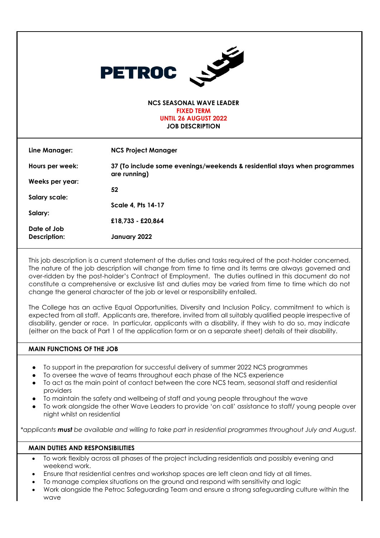| <b>CONTRACTOR</b><br><b>PETROC</b>                   |                                                                                           |  |  |  |
|------------------------------------------------------|-------------------------------------------------------------------------------------------|--|--|--|
| <b>NCS SEASONAL WAVE LEADER</b><br><b>FIXED TERM</b> |                                                                                           |  |  |  |
|                                                      |                                                                                           |  |  |  |
| Line Manager:                                        | <b>NCS Project Manager</b>                                                                |  |  |  |
| Hours per week:                                      | 37 (To include some evenings/weekends & residential stays when programmes<br>are running) |  |  |  |
| Weeks per year:                                      |                                                                                           |  |  |  |
|                                                      | 52                                                                                        |  |  |  |
| <b>Salary scale:</b>                                 |                                                                                           |  |  |  |
|                                                      | <b>Scale 4, Pts 14-17</b>                                                                 |  |  |  |
| Salary:                                              |                                                                                           |  |  |  |
|                                                      | £18,733 - £20,864                                                                         |  |  |  |
| Date of Job                                          |                                                                                           |  |  |  |
| Description:                                         | January 2022                                                                              |  |  |  |

This job description is a current statement of the duties and tasks required of the post-holder concerned. The nature of the job description will change from time to time and its terms are always governed and over-ridden by the post-holder's Contract of Employment. The duties outlined in this document do not constitute a comprehensive or exclusive list and duties may be varied from time to time which do not change the general character of the job or level or responsibility entailed.

The College has an active Equal Opportunities, Diversity and Inclusion Policy, commitment to which is expected from all staff. Applicants are, therefore, invited from all suitably qualified people irrespective of disability, gender or race. In particular, applicants with a disability, if they wish to do so, may indicate (either on the back of Part 1 of the application form or on a separate sheet) details of their disability.

### **MAIN FUNCTIONS OF THE JOB**

- To support in the preparation for successful delivery of summer 2022 NCS programmes
- To oversee the wave of teams throughout each phase of the NCS experience
- To act as the main point of contact between the core NCS team, seasonal staff and residential providers
- To maintain the safety and wellbeing of staff and young people throughout the wave
- To work alongside the other Wave Leaders to provide 'on call' assistance to staff/ young people over night whilst on residential

\**applicants must be available and willing to take part in residential programmes throughout July and August.* 

### **MAIN DUTIES AND RESPONSIBILITIES**

- To work flexibly across all phases of the project including residentials and possibly evening and weekend work.
- Ensure that residential centres and workshop spaces are left clean and tidy at all times.
- To manage complex situations on the ground and respond with sensitivity and logic
- Work alongside the Petroc Safeguarding Team and ensure a strong safeguarding culture within the wave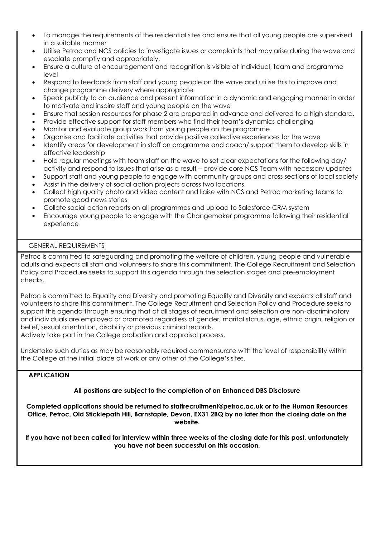- To manage the requirements of the residential sites and ensure that all young people are supervised in a suitable manner
- Utilise Petroc and NCS policies to investigate issues or complaints that may arise during the wave and escalate promptly and appropriately.
- Ensure a culture of encouragement and recognition is visible at individual, team and programme level
- Respond to feedback from staff and young people on the wave and utilise this to improve and change programme delivery where appropriate
- Speak publicly to an audience and present information in a dynamic and engaging manner in order to motivate and inspire staff and young people on the wave
- Ensure that session resources for phase 2 are prepared in advance and delivered to a high standard.
- Provide effective support for staff members who find their team's dynamics challenging
- Monitor and evaluate group work from young people on the programme
- Organise and facilitate activities that provide positive collective experiences for the wave
- Identify areas for development in staff on programme and coach/ support them to develop skills in effective leadership
- Hold regular meetings with team staff on the wave to set clear expectations for the following day/ activity and respond to issues that arise as a result – provide core NCS Team with necessary updates
- Support staff and young people to engage with community groups and cross sections of local society
- Assist in the delivery of social action projects across two locations.
- Collect high quality photo and video content and liaise with NCS and Petroc marketing teams to promote good news stories
- Collate social action reports on all programmes and upload to Salesforce CRM system
- Encourage young people to engage with the Changemaker programme following their residential experience

## GENERAL REQUIREMENTS

Petroc is committed to safeguarding and promoting the welfare of children, young people and vulnerable adults and expects all staff and volunteers to share this commitment. The College Recruitment and Selection Policy and Procedure seeks to support this agenda through the selection stages and pre-employment checks.

Petroc is committed to Equality and Diversity and promoting Equality and Diversity and expects all staff and volunteers to share this commitment. The College Recruitment and Selection Policy and Procedure seeks to support this agenda through ensuring that at all stages of recruitment and selection are non-discriminatory and individuals are employed or promoted regardless of gender, marital status, age, ethnic origin, religion or belief, sexual orientation, disability or previous criminal records.

Actively take part in the College probation and appraisal process.

Undertake such duties as may be reasonably required commensurate with the level of responsibility within the College at the initial place of work or any other of the College's sites.

### **APPLICATION**

# **All positions are subject to the completion of an Enhanced DBS Disclosure**

**Completed applications should be returned to staffrecruitment@petroc.ac.uk or to the Human Resources Office, Petroc, Old Sticklepath Hill, Barnstaple, Devon, EX31 2BQ by no later than the closing date on the website.**

**If you have not been called for interview within three weeks of the closing date for this post, unfortunately you have not been successful on this occasion.**